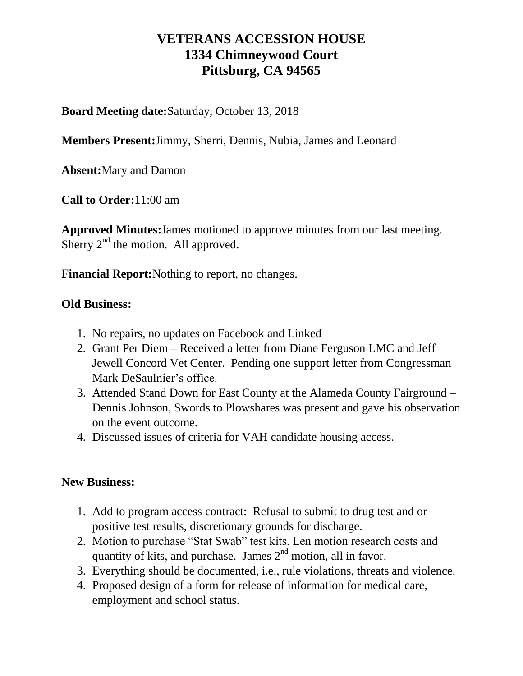# **VETERANS ACCESSION HOUSE 1334 Chimneywood Court Pittsburg, CA 94565**

**Board Meeting date:**Saturday, October 13, 2018

**Members Present:**Jimmy, Sherri, Dennis, Nubia, James and Leonard

**Absent:**Mary and Damon

**Call to Order:**11:00 am

**Approved Minutes:**James motioned to approve minutes from our last meeting. Sherry  $2<sup>nd</sup>$  the motion. All approved.

**Financial Report:**Nothing to report, no changes.

### **Old Business:**

- 1. No repairs, no updates on Facebook and Linked
- 2. Grant Per Diem Received a letter from Diane Ferguson LMC and Jeff Jewell Concord Vet Center. Pending one support letter from Congressman Mark DeSaulnier's office.
- 3. Attended Stand Down for East County at the Alameda County Fairground Dennis Johnson, Swords to Plowshares was present and gave his observation on the event outcome.
- 4. Discussed issues of criteria for VAH candidate housing access.

### **New Business:**

- 1. Add to program access contract: Refusal to submit to drug test and or positive test results, discretionary grounds for discharge.
- 2. Motion to purchase "Stat Swab" test kits. Len motion research costs and quantity of kits, and purchase. James  $2<sup>nd</sup>$  motion, all in favor.
- 3. Everything should be documented, i.e., rule violations, threats and violence.
- 4. Proposed design of a form for release of information for medical care, employment and school status.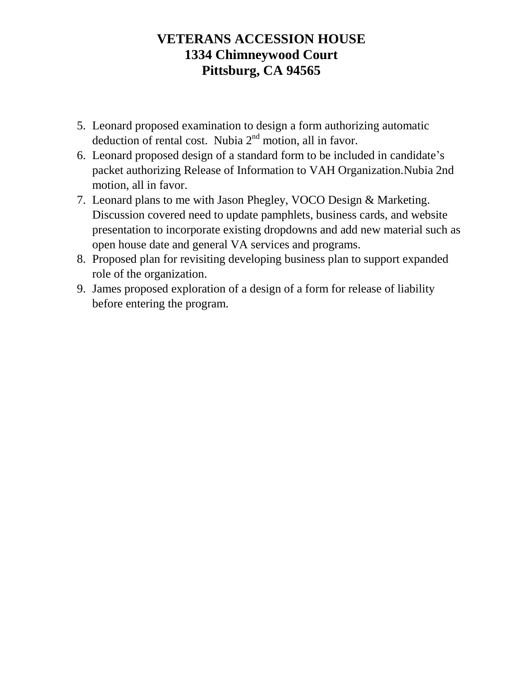# **VETERANS ACCESSION HOUSE 1334 Chimneywood Court Pittsburg, CA 94565**

- 5. Leonard proposed examination to design a form authorizing automatic deduction of rental cost. Nubia  $2<sup>nd</sup>$  motion, all in favor.
- 6. Leonard proposed design of a standard form to be included in candidate's packet authorizing Release of Information to VAH Organization.Nubia 2nd motion, all in favor.
- 7. Leonard plans to me with Jason Phegley, VOCO Design & Marketing. Discussion covered need to update pamphlets, business cards, and website presentation to incorporate existing dropdowns and add new material such as open house date and general VA services and programs.
- 8. Proposed plan for revisiting developing business plan to support expanded role of the organization.
- 9. James proposed exploration of a design of a form for release of liability before entering the program.